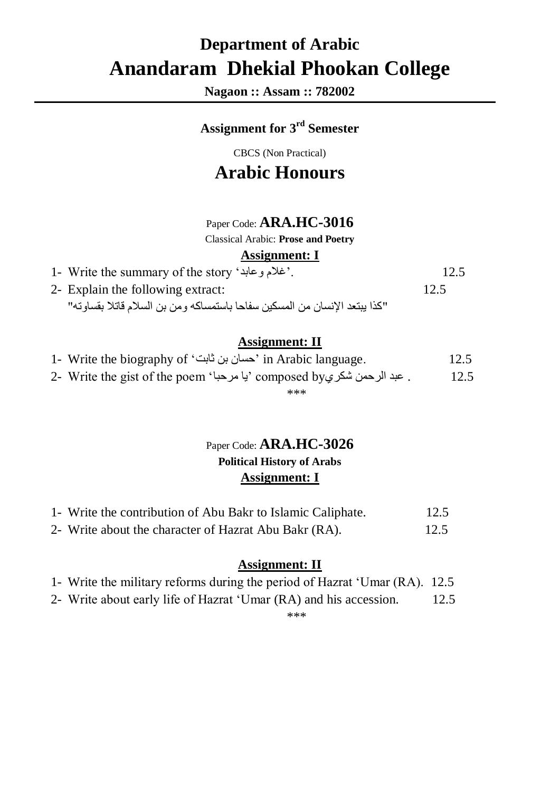# **Department of Arabic Anandaram Dhekial Phookan College**

**Nagaon :: Assam :: 782002**

### **Assignment for 3 rd Semester**

CBCS (Non Practical)

# **Arabic Honours**

#### Paper Code: **ARA.HC-3016**

Classical Arabic: **Prose and Poetry**

#### **Assignment: I**

| 1- Write the summary of the story 'غلام وعابد'.                            | 12.5 |
|----------------------------------------------------------------------------|------|
| 2- Explain the following extract:                                          | 12.5 |
| "كذا يبتعد الإنسان من المسكين سفاحا باستمساكه ومن بن السلام قاتلا بقساوته" |      |

#### **Assignment: II**

- 1- Write the biography of 'ثابت بن حسان 'in Arabic language. 12.5
- 2- Write the gist of the poem 'با مرحبا "composed by . عبد الرحمن شكري "2- write the gist of the poem \*\*\*

#### Paper Code: **ARA.HC-3026 Political History of Arabs Assignment: I**

| 1- Write the contribution of Abu Bakr to Islamic Caliphate. | 12.5 |
|-------------------------------------------------------------|------|
| 2- Write about the character of Hazrat Abu Bakr (RA).       | 12.5 |

#### **Assignment: II**

- 1- Write the military reforms during the period of Hazrat 'Umar (RA). 12.5
- 2- Write about early life of Hazrat 'Umar (RA) and his accession. 12.5

\*\*\*